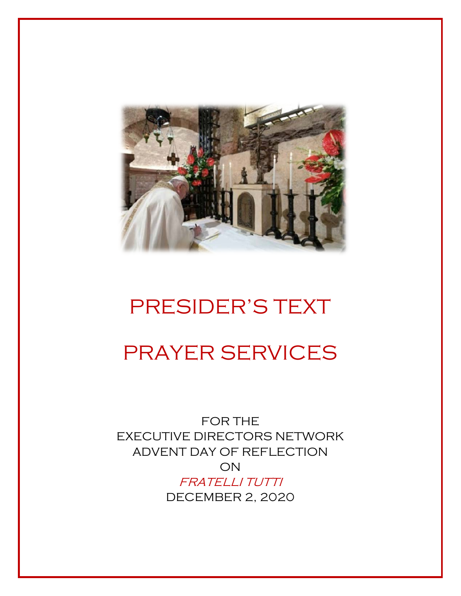

# PRESIDER'S TEXT PRAYER SERVICES

FOR THE EXECUTIVE DIRECTORS NETWORK ADVENT DAY OF REFLECTION ON FRATELLI TUTTI DECEMBER 2, 2020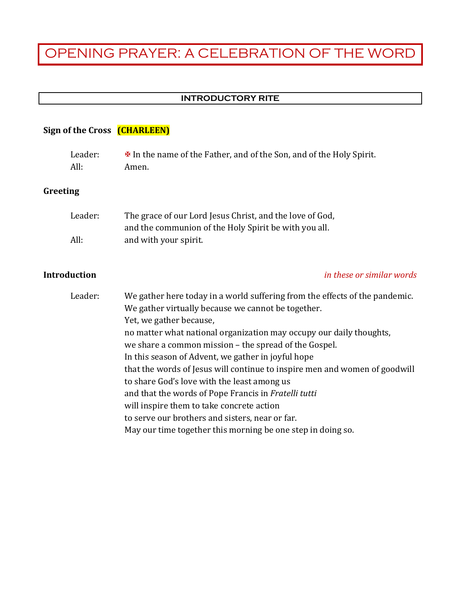#### **INTRODUCTORY RITE**

### **Sign of the Cross (CHARLEEN)**

|                                                  | Leader:<br>All: | In the name of the Father, and of the Son, and of the Holy Spirit.<br>Amen.                                                                                                                                                                                                                                                                                                                                                                                                                                                                                                                                                                                                                            |  |  |  |
|--------------------------------------------------|-----------------|--------------------------------------------------------------------------------------------------------------------------------------------------------------------------------------------------------------------------------------------------------------------------------------------------------------------------------------------------------------------------------------------------------------------------------------------------------------------------------------------------------------------------------------------------------------------------------------------------------------------------------------------------------------------------------------------------------|--|--|--|
| Greeting                                         |                 |                                                                                                                                                                                                                                                                                                                                                                                                                                                                                                                                                                                                                                                                                                        |  |  |  |
|                                                  | Leader:<br>All: | The grace of our Lord Jesus Christ, and the love of God,<br>and the communion of the Holy Spirit be with you all.<br>and with your spirit.                                                                                                                                                                                                                                                                                                                                                                                                                                                                                                                                                             |  |  |  |
| <b>Introduction</b><br>in these or similar words |                 |                                                                                                                                                                                                                                                                                                                                                                                                                                                                                                                                                                                                                                                                                                        |  |  |  |
|                                                  | Leader:         | We gather here today in a world suffering from the effects of the pandemic.<br>We gather virtually because we cannot be together.<br>Yet, we gather because,<br>no matter what national organization may occupy our daily thoughts,<br>we share a common mission - the spread of the Gospel.<br>In this season of Advent, we gather in joyful hope<br>that the words of Jesus will continue to inspire men and women of goodwill<br>to share God's love with the least among us<br>and that the words of Pope Francis in Fratelli tutti<br>will inspire them to take concrete action<br>to serve our brothers and sisters, near or far.<br>May our time together this morning be one step in doing so. |  |  |  |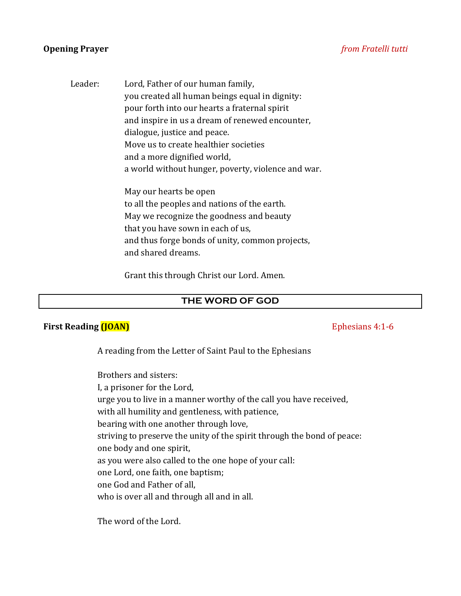#### **Opening Prayer** *from Fratelli tutti*

Leader: Lord, Father of our human family, you created all human beings equal in dignity: pour forth into our hearts a fraternal spirit and inspire in us a dream of renewed encounter, dialogue, justice and peace. Move us to create healthier societies and a more dignified world, a world without hunger, poverty, violence and war. May our hearts be open

to all the peoples and nations of the earth. May we recognize the goodness and beauty that you have sown in each of us, and thus forge bonds of unity, common projects, and shared dreams.

Grant this through Christ our Lord. Amen.

#### **THE WORD OF GOD**

#### **First Reading (JOAN)** Ephesians 4:1-6

A reading from the Letter of Saint Paul to the Ephesians

Brothers and sisters: I, a prisoner for the Lord, urge you to live in a manner worthy of the call you have received, with all humility and gentleness, with patience, bearing with one another through love, striving to preserve the unity of the spirit through the bond of peace: one body and one spirit, as you were also called to the one hope of your call: one Lord, one faith, one baptism; one God and Father of all, who is over all and through all and in all.

The word of the Lord.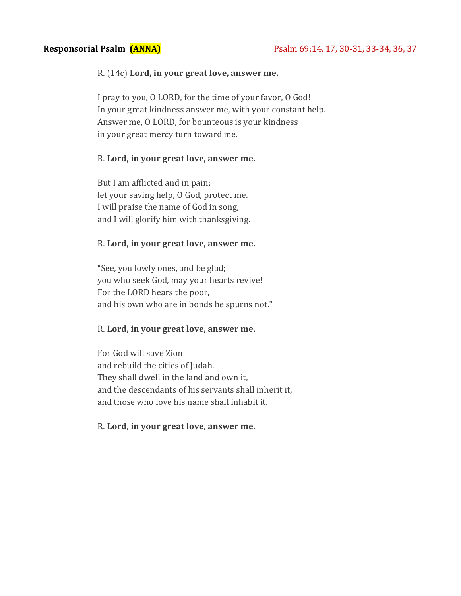#### R. (14c) **Lord, in your great love, answer me.**

I pray to you, O LORD, for the time of your favor, O God! In your great kindness answer me, with your constant help. Answer me, O LORD, for bounteous is your kindness in your great mercy turn toward me.

#### R. **Lord, in your great love, answer me.**

But I am afflicted and in pain; let your saving help, O God, protect me. I will praise the name of God in song, and I will glorify him with thanksgiving.

#### R. **Lord, in your great love, answer me.**

"See, you lowly ones, and be glad; you who seek God, may your hearts revive! For the LORD hears the poor, and his own who are in bonds he spurns not."

#### R. **Lord, in your great love, answer me.**

For God will save Zion and rebuild the cities of Judah. They shall dwell in the land and own it, and the descendants of his servants shall inherit it, and those who love his name shall inhabit it.

#### R. **Lord, in your great love, answer me.**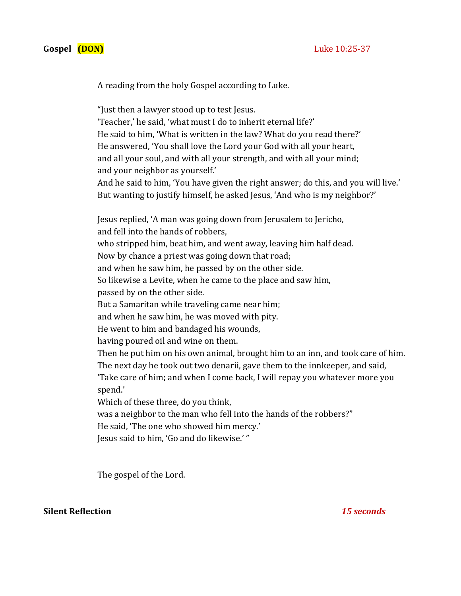#### **Gospel (DON)** Luke 10:25-37

A reading from the holy Gospel according to Luke.

"Just then a lawyer stood up to test Jesus. 'Teacher,' he said, 'what must I do to inherit eternal life?' He said to him, 'What is written in the law? What do you read there?' He answered, 'You shall love the Lord your God with all your heart, and all your soul, and with all your strength, and with all your mind; and your neighbor as yourself.' And he said to him, 'You have given the right answer; do this, and you will live.' But wanting to justify himself, he asked Jesus, 'And who is my neighbor?' Jesus replied, 'A man was going down from Jerusalem to Jericho, and fell into the hands of robbers, who stripped him, beat him, and went away, leaving him half dead. Now by chance a priest was going down that road; and when he saw him, he passed by on the other side. So likewise a Levite, when he came to the place and saw him, passed by on the other side. But a Samaritan while traveling came near him; and when he saw him, he was moved with pity. He went to him and bandaged his wounds, having poured oil and wine on them. Then he put him on his own animal, brought him to an inn, and took care of him. The next day he took out two denarii, gave them to the innkeeper, and said, 'Take care of him; and when I come back, I will repay you whatever more you spend.' Which of these three, do you think, was a neighbor to the man who fell into the hands of the robbers?" He said, 'The one who showed him mercy.' Jesus said to him, 'Go and do likewise.' "

The gospel of the Lord.

#### **Silent Reflection** *15 seconds*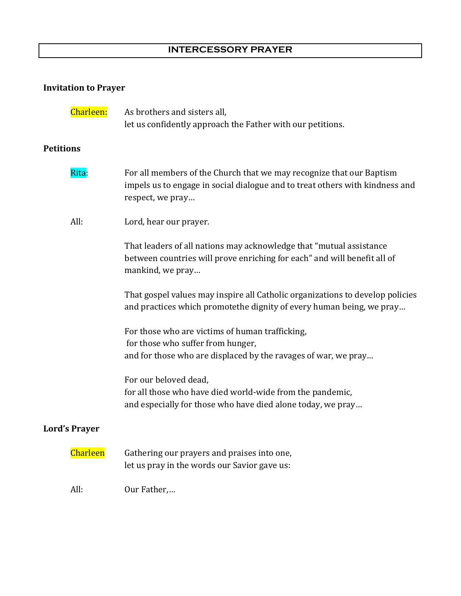### **INTERCESSORY PRAYER**

### **Invitation to Prayer**

| Charleen:            | As brothers and sisters all,<br>let us confidently approach the Father with our petitions.                                                                               |
|----------------------|--------------------------------------------------------------------------------------------------------------------------------------------------------------------------|
| <b>Petitions</b>     |                                                                                                                                                                          |
| Rita:                | For all members of the Church that we may recognize that our Baptism<br>impels us to engage in social dialogue and to treat others with kindness and<br>respect, we pray |
| All:                 | Lord, hear our prayer.                                                                                                                                                   |
|                      | That leaders of all nations may acknowledge that "mutual assistance<br>between countries will prove enriching for each" and will benefit all of<br>mankind, we pray      |
|                      | That gospel values may inspire all Catholic organizations to develop policies<br>and practices which promotethe dignity of every human being, we pray                    |
|                      | For those who are victims of human trafficking,<br>for those who suffer from hunger,<br>and for those who are displaced by the ravages of war, we pray                   |
|                      | For our beloved dead,<br>for all those who have died world-wide from the pandemic,<br>and especially for those who have died alone today, we pray                        |
| <b>Lord's Prayer</b> |                                                                                                                                                                          |
| <b>Charleen</b>      | Gathering our prayers and praises into one,<br>let us pray in the words our Savior gave us:                                                                              |

All: Our Father,…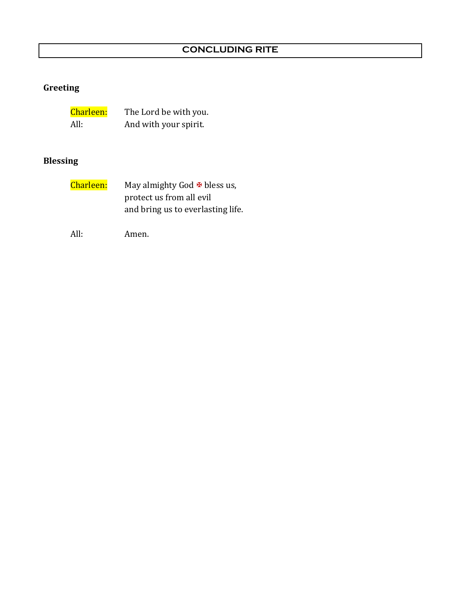#### **CONCLUDING RITE**

### **Greeting**

**Charleen:** The Lord be with you.<br>All: And with your spirit. And with your spirit.

### **Blessing**

| Charleen: | May almighty God $\blacktriangleright$ bless us, |
|-----------|--------------------------------------------------|
|           | protect us from all evil                         |
|           | and bring us to everlasting life.                |
|           |                                                  |

All: Amen.